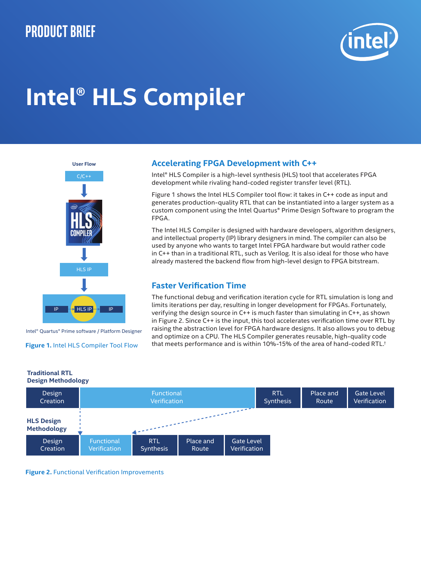# **Product brief**



# **Intel® HLS Compiler**



#### Intel® Quartus® Prime software / Platform Designer

#### **Figure 1.** Intel HLS Compiler Tool Flow

**Traditional RTL**

## **Accelerating FPGA Development with C++**

Intel® HLS Compiler is a high-level synthesis (HLS) tool that accelerates FPGA development while rivaling hand-coded register transfer level (RTL).

Figure 1 shows the Intel HLS Compiler tool flow: it takes in C++ code as input and generates production-quality RTL that can be instantiated into a larger system as a custom component using the Intel Quartus® Prime Design Software to program the FPGA.

The Intel HLS Compiler is designed with hardware developers, algorithm designers, and intellectual property (IP) library designers in mind. The compiler can also be used by anyone who wants to target Intel FPGA hardware but would rather code in C++ than in a traditional RTL, such as Verilog. It is also ideal for those who have already mastered the backend flow from high-level design to FPGA bitstream.

### **Faster Verification Time**

The functional debug and verification iteration cycle for RTL simulation is long and limits iterations per day, resulting in longer development for FPGAs. Fortunately, verifying the design source in C++ is much faster than simulating in C++, as shown in Figure 2. Since C++ is the input, this tool accelerates verification time over RTL by raising the abstraction level for FPGA hardware designs. It also allows you to debug and optimize on a CPU. The HLS Compiler generates reusable, high-quality code that meets performance and is within 10%-15% of the area of hand-coded RTL.†